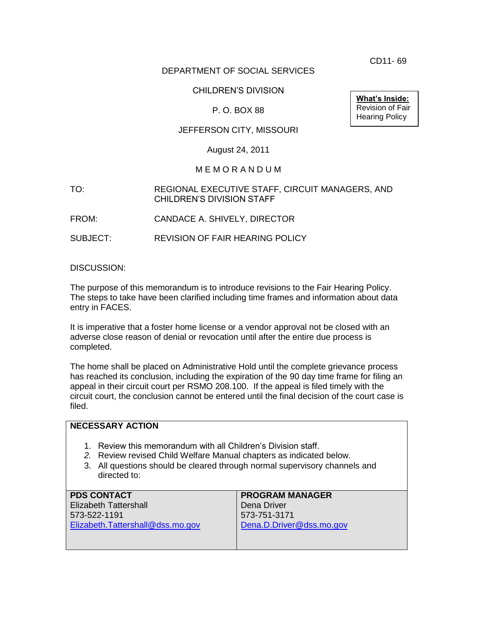CD11- 69

# DEPARTMENT OF SOCIAL SERVICES

# CHILDREN'S DIVISION

## P. O. BOX 88

# JEFFERSON CITY, MISSOURI

### August 24, 2011

#### M E M O R A N D U M

#### TO: REGIONAL EXECUTIVE STAFF, CIRCUIT MANAGERS, AND CHILDREN'S DIVISION STAFF

FROM: CANDACE A. SHIVELY, DIRECTOR

SUBJECT: REVISION OF FAIR HEARING POLICY

DISCUSSION:

The purpose of this memorandum is to introduce revisions to the Fair Hearing Policy. The steps to take have been clarified including time frames and information about data entry in FACES.

It is imperative that a foster home license or a vendor approval not be closed with an adverse close reason of denial or revocation until after the entire due process is completed.

The home shall be placed on Administrative Hold until the complete grievance process has reached its conclusion, including the expiration of the 90 day time frame for filing an appeal in their circuit court per RSMO 208.100. If the appeal is filed timely with the circuit court, the conclusion cannot be entered until the final decision of the court case is filed.

| <b>NECESSARY ACTION</b>                                                                                                                                                                                                               |                          |
|---------------------------------------------------------------------------------------------------------------------------------------------------------------------------------------------------------------------------------------|--------------------------|
| Review this memorandum with all Children's Division staff.<br>1.<br>2. Review revised Child Welfare Manual chapters as indicated below.<br>3. All questions should be cleared through normal supervisory channels and<br>directed to: |                          |
| <b>PDS CONTACT</b>                                                                                                                                                                                                                    | <b>PROGRAM MANAGER</b>   |
| <b>Elizabeth Tattershall</b>                                                                                                                                                                                                          | Dena Driver              |
| 573-522-1191                                                                                                                                                                                                                          | 573-751-3171             |
| Elizabeth.Tattershall@dss.mo.gov                                                                                                                                                                                                      | Dena.D.Driver@dss.mo.gov |

**What's Inside:** Revision of Fair Hearing Policy